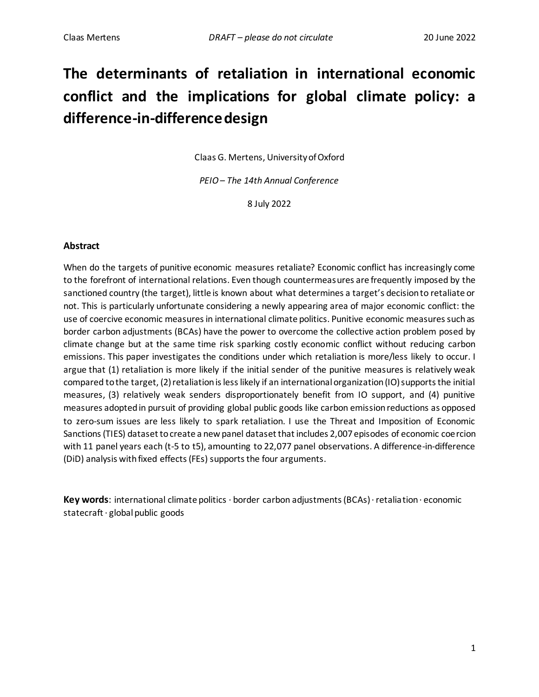# **The determinants of retaliation in international economic conflict and the implications for global climate policy: a difference-in-difference design**

Claas G. Mertens, University of Oxford

*PEIO– The 14th Annual Conference*

8 July 2022

### **Abstract**

When do the targets of punitive economic measures retaliate? Economic conflict has increasingly come to the forefront of international relations. Even though countermeasures are frequently imposed by the sanctioned country (the target), little is known about what determines a target's decision to retaliate or not. This is particularly unfortunate considering a newly appearing area of major economic conflict: the use of coercive economic measures in international climate politics. Punitive economic measures such as border carbon adjustments (BCAs) have the power to overcome the collective action problem posed by climate change but at the same time risk sparking costly economic conflict without reducing carbon emissions. This paper investigates the conditions under which retaliation is more/less likely to occur. I argue that (1) retaliation is more likely if the initial sender of the punitive measures is relatively weak compared to the target, (2) retaliation is less likely if an international organization (IO) supports the initial measures, (3) relatively weak senders disproportionately benefit from IO support, and (4) punitive measures adopted in pursuit of providing global public goods like carbon emission reductions as opposed to zero-sum issues are less likely to spark retaliation. I use the Threat and Imposition of Economic Sanctions (TIES) dataset to create a new panel dataset that includes 2,007 episodes of economic coercion with 11 panel years each (t-5 to t5), amounting to 22,077 panel observations. A difference-in-difference (DiD) analysis with fixed effects (FEs) supports the four arguments.

**Key words**: international climate politics · border carbon adjustments (BCAs) · retaliation · economic statecraft · global public goods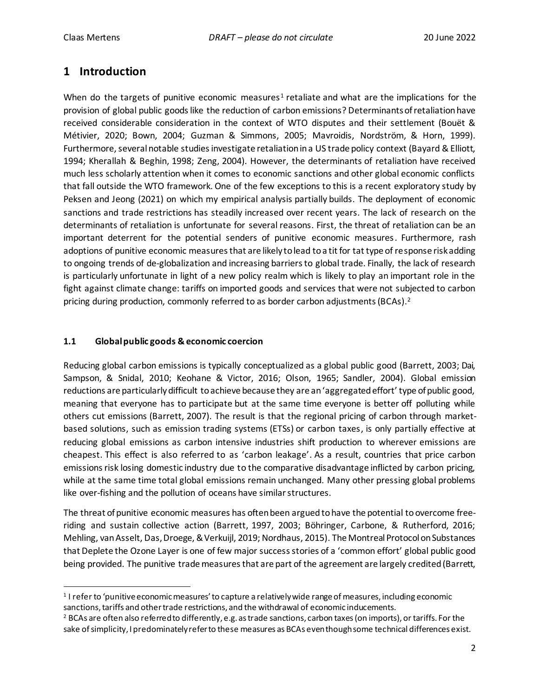# **1 Introduction**

When do the targets of punitive economic measures<sup>1</sup> retaliate and what are the implications for the provision of global public goods like the reduction of carbon emissions? Determinants of retaliation have received considerable consideration in the context of WTO disputes and their settlement (Bouët & Métivier, 2020; Bown, 2004; Guzman & Simmons, 2005; Mavroidis, Nordström, & Horn, 1999). Furthermore, several notable studies investigate retaliation in a US trade policy context (Bayard & Elliott, 1994; Kherallah & Beghin, 1998; Zeng, 2004). However, the determinants of retaliation have received much less scholarly attention when it comes to economic sanctions and other global economic conflicts that fall outside the WTO framework. One of the few exceptions to this is a recent exploratory study by Peksen and Jeong (2021) on which my empirical analysis partially builds. The deployment of economic sanctions and trade restrictions has steadily increased over recent years. The lack of research on the determinants of retaliation is unfortunate for several reasons. First, the threat of retaliation can be an important deterrent for the potential senders of punitive economic measures. Furthermore, rash adoptions of punitive economic measures that are likely to lead to a tit for tat type of response risk adding to ongoing trends of de-globalization and increasing barriers to global trade. Finally, the lack of research is particularly unfortunate in light of a new policy realm which is likely to play an important role in the fight against climate change: tariffs on imported goods and services that were not subjected to carbon pricing during production, commonly referred to as border carbon adjustments (BCAs).<sup>2</sup>

# **1.1 Global public goods & economic coercion**

Reducing global carbon emissions is typically conceptualized as a global public good (Barrett, 2003; Dai, Sampson, & Snidal, 2010; Keohane & Victor, 2016; Olson, 1965; Sandler, 2004). Global emission reductions are particularly difficult to achieve because they are an 'aggregated effort' type of public good, meaning that everyone has to participate but at the same time everyone is better off polluting while others cut emissions (Barrett, 2007). The result is that the regional pricing of carbon through marketbased solutions, such as emission trading systems (ETSs) or carbon taxes, is only partially effective at reducing global emissions as carbon intensive industries shift production to wherever emissions are cheapest. This effect is also referred to as 'carbon leakage'. As a result, countries that price carbon emissions risk losing domestic industry due to the comparative disadvantage inflicted by carbon pricing, while at the same time total global emissions remain unchanged. Many other pressing global problems like over-fishing and the pollution of oceans have similar structures.

The threat of punitive economic measures has often been argued to have the potential to overcome freeriding and sustain collective action (Barrett, 1997, 2003; Böhringer, Carbone, & Rutherford, 2016; Mehling, van Asselt, Das, Droege, & Verkuijl, 2019; Nordhaus, 2015). The Montreal Protocol on Substances that Deplete the Ozone Layer is one of few major success stories of a 'common effort' global public good being provided. The punitive trade measures that are part of the agreement are largely credited (Barrett,

<sup>&</sup>lt;sup>1</sup> I refer to 'punitive economic measures' to capture a relatively wide range of measures, including economic sanctions, tariffs and other trade restrictions, and the withdrawal of economic inducements.

<sup>&</sup>lt;sup>2</sup> BCAs are often also referred to differently, e.g. as trade sanctions, carbon taxes (on imports), or tariffs. For the sake of simplicity, I predominately refer to these measures as BCAs even though some technical differences exist.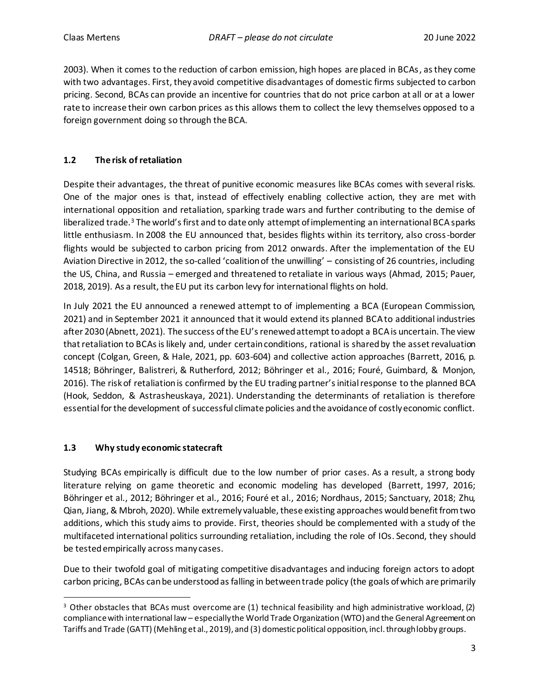2003). When it comes to the reduction of carbon emission, high hopes are placed in BCAs, as they come with two advantages. First, they avoid competitive disadvantages of domestic firms subjected to carbon pricing. Second, BCAs can provide an incentive for countries that do not price carbon at all or at a lower rate to increase their own carbon prices as this allows them to collect the levy themselves opposed to a foreign government doing so through the BCA.

# **1.2 The risk of retaliation**

Despite their advantages, the threat of punitive economic measures like BCAs comes with several risks. One of the major ones is that, instead of effectively enabling collective action, they are met with international opposition and retaliation, sparking trade wars and further contributing to the demise of liberalized trade.<sup>3</sup> The world's first and to date only attempt of implementing an international BCA sparks little enthusiasm. In 2008 the EU announced that, besides flights within its territory, also cross-border flights would be subjected to carbon pricing from 2012 onwards. After the implementation of the EU Aviation Directive in 2012, the so-called 'coalition of the unwilling' – consisting of 26 countries, including the US, China, and Russia – emerged and threatened to retaliate in various ways (Ahmad, 2015; Pauer, 2018, 2019). As a result, the EU put its carbon levy for international flights on hold.

In July 2021 the EU announced a renewed attempt to of implementing a BCA (European Commission, 2021) and in September 2021 it announced that it would extend its planned BCA to additional industries after 2030 (Abnett, 2021). The success of the EU's renewed attempt to adopt a BCA is uncertain. The view that retaliation to BCAs is likely and, under certain conditions, rational is shared by the asset revaluation concept (Colgan, Green, & Hale, 2021, pp. 603-604) and collective action approaches (Barrett, 2016, p. 14518; Böhringer, Balistreri, & Rutherford, 2012; Böhringer et al., 2016; Fouré, Guimbard, & Monjon, 2016). The risk of retaliation is confirmed by the EU trading partner's initial response to the planned BCA (Hook, Seddon, & Astrasheuskaya, 2021). Understanding the determinants of retaliation is therefore essential for the development of successful climate policies and the avoidance of costly economic conflict.

# **1.3 Why study economic statecraft**

Studying BCAs empirically is difficult due to the low number of prior cases. As a result, a strong body literature relying on game theoretic and economic modeling has developed (Barrett, 1997, 2016; Böhringer et al., 2012; Böhringer et al., 2016; Fouré et al., 2016; Nordhaus, 2015; Sanctuary, 2018; Zhu, Qian, Jiang, & Mbroh, 2020). While extremely valuable, these existing approaches would benefit from two additions, which this study aims to provide. First, theories should be complemented with a study of the multifaceted international politics surrounding retaliation, including the role of IOs. Second, they should be tested empirically across many cases.

Due to their twofold goal of mitigating competitive disadvantages and inducing foreign actors to adopt carbon pricing, BCAs can be understood as falling in between trade policy (the goals of which are primarily

<sup>&</sup>lt;sup>3</sup> Other obstacles that BCAs must overcome are (1) technical feasibility and high administrative workload, (2) compliance with international law – especially the World Trade Organization (WTO) and the General Agreement on Tariffs and Trade (GATT) (Mehling et al., 2019), and (3) domestic political opposition, incl. through lobby groups.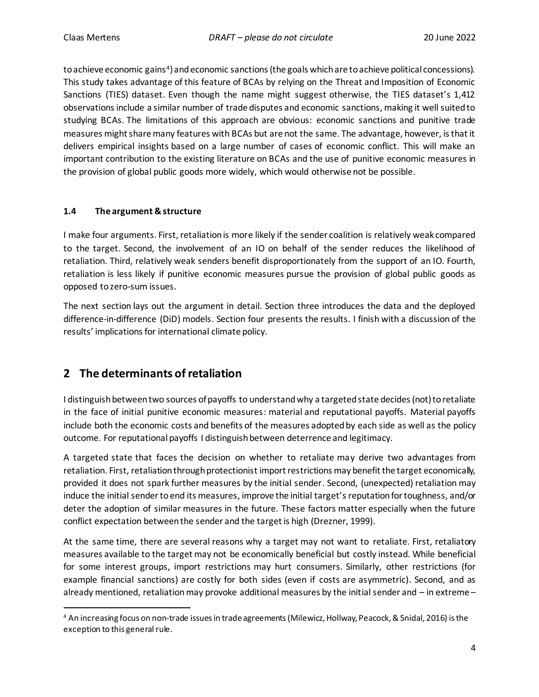to achieve economic gains<sup>4</sup>) and economic sanctions (the goals which are to achieve political concessions). This study takes advantage of this feature of BCAs by relying on the Threat and Imposition of Economic Sanctions (TIES) dataset. Even though the name might suggest otherwise, the TIES dataset's 1,412 observations include a similar number of trade disputes and economic sanctions, making it well suited to studying BCAs. The limitations of this approach are obvious: economic sanctions and punitive trade measures might share many features with BCAs but are not the same. The advantage, however, is that it delivers empirical insights based on a large number of cases of economic conflict. This will make an important contribution to the existing literature on BCAs and the use of punitive economic measures in the provision of global public goods more widely, which would otherwise not be possible.

### **1.4 The argument & structure**

I make four arguments. First, retaliation is more likely if the sender coalition is relatively weak compared to the target. Second, the involvement of an IO on behalf of the sender reduces the likelihood of retaliation. Third, relatively weak senders benefit disproportionately from the support of an IO. Fourth, retaliation is less likely if punitive economic measures pursue the provision of global public goods as opposed to zero-sum issues.

The next section lays out the argument in detail. Section three introduces the data and the deployed difference-in-difference (DiD) models. Section four presents the results. I finish with a discussion of the results' implications for international climate policy.

# **2 The determinants of retaliation**

I distinguish between two sources of payoffs to understandwhy a targeted state decides (not) to retaliate in the face of initial punitive economic measures: material and reputational payoffs. Material payoffs include both the economic costs and benefits of the measures adopted by each side as well as the policy outcome. For reputational payoffs I distinguish between deterrence and legitimacy.

A targeted state that faces the decision on whether to retaliate may derive two advantages from retaliation. First, retaliation through protectionist import restrictions may benefit the target economically, provided it does not spark further measures by the initial sender. Second, (unexpected) retaliation may induce the initial sender to end its measures, improve the initial target's reputation for toughness, and/or deter the adoption of similar measures in the future. These factors matter especially when the future conflict expectation between the sender and the target is high (Drezner, 1999).

At the same time, there are several reasons why a target may not want to retaliate. First, retaliatory measures available to the target may not be economically beneficial but costly instead. While beneficial for some interest groups, import restrictions may hurt consumers. Similarly, other restrictions (for example financial sanctions) are costly for both sides (even if costs are asymmetric). Second, and as already mentioned, retaliation may provoke additional measures by the initial sender and – in extreme –

<sup>4</sup> An increasing focus on non-trade issues in trade agreements (Milewicz, Hollway, Peacock, & Snidal, 2016) is the exception to this general rule.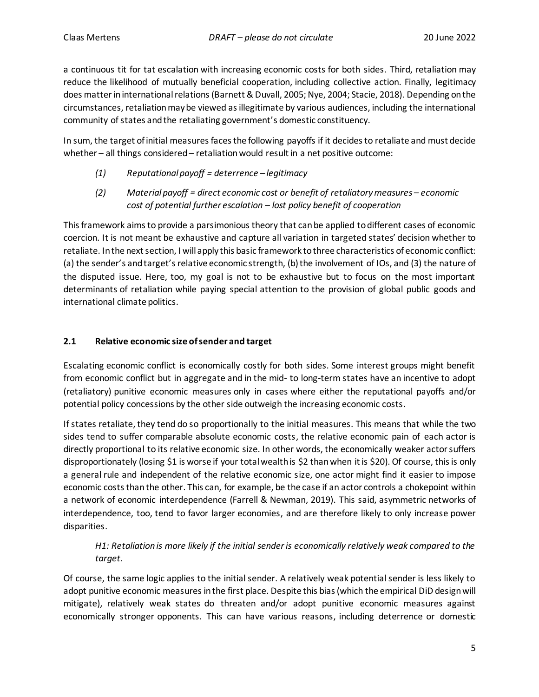a continuous tit for tat escalation with increasing economic costs for both sides. Third, retaliation may reduce the likelihood of mutually beneficial cooperation, including collective action. Finally, legitimacy does matter in international relations (Barnett & Duvall, 2005; Nye, 2004; Stacie, 2018). Depending on the circumstances, retaliation may be viewed as illegitimate by various audiences, including the international community of states and the retaliating government's domestic constituency.

In sum, the target of initial measures faces the following payoffs if it decides to retaliate and must decide whether – all things considered – retaliation would result in a net positive outcome:

- *(1) Reputational payoff = deterrence – legitimacy*
- *(2) Material payoff = direct economic cost or benefit of retaliatory measures – economic cost of potential further escalation – lost policy benefit of cooperation*

This framework aims to provide a parsimonious theory that can be applied to different cases of economic coercion. It is not meant be exhaustive and capture all variation in targeted states' decision whether to retaliate. In the next section, I will apply this basic framework to three characteristics of economic conflict: (a) the sender's and target's relative economic strength, (b) the involvement of IOs, and (3) the nature of the disputed issue. Here, too, my goal is not to be exhaustive but to focus on the most important determinants of retaliation while paying special attention to the provision of global public goods and international climate politics.

# **2.1 Relative economic size of sender and target**

Escalating economic conflict is economically costly for both sides. Some interest groups might benefit from economic conflict but in aggregate and in the mid- to long-term states have an incentive to adopt (retaliatory) punitive economic measures only in cases where either the reputational payoffs and/or potential policy concessions by the other side outweigh the increasing economic costs.

If states retaliate, they tend do so proportionally to the initial measures. This means that while the two sides tend to suffer comparable absolute economic costs, the relative economic pain of each actor is directly proportional to its relative economic size. In other words, the economically weaker actor suffers disproportionately (losing \$1 is worse if your total wealth is \$2 than when it is \$20). Of course, this is only a general rule and independent of the relative economic size, one actor might find it easier to impose economic costs than the other. This can, for example, be the case if an actor controls a chokepoint within a network of economic interdependence (Farrell & Newman, 2019). This said, asymmetric networks of interdependence, too, tend to favor larger economies, and are therefore likely to only increase power disparities.

# *H1: Retaliation is more likely if the initial sender is economically relatively weak compared to the target.*

Of course, the same logic applies to the initial sender. A relatively weak potential sender is less likely to adopt punitive economic measures in the first place. Despite this bias (which the empirical DiD design will mitigate), relatively weak states do threaten and/or adopt punitive economic measures against economically stronger opponents. This can have various reasons, including deterrence or domestic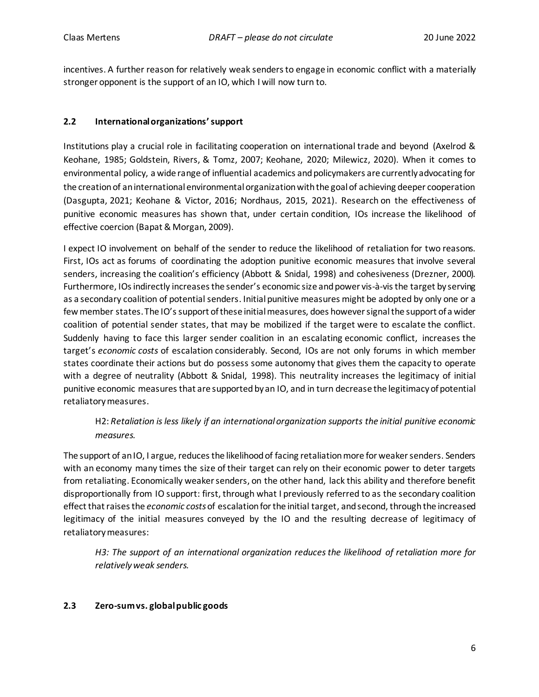incentives. A further reason for relatively weak senders to engage in economic conflict with a materially stronger opponent is the support of an IO, which I will now turn to.

# **2.2 International organizations' support**

Institutions play a crucial role in facilitating cooperation on international trade and beyond (Axelrod & Keohane, 1985; Goldstein, Rivers, & Tomz, 2007; Keohane, 2020; Milewicz, 2020). When it comes to environmental policy, a wide range of influential academics and policymakers are currently advocating for the creation of an international environmental organization with the goal of achieving deeper cooperation (Dasgupta, 2021; Keohane & Victor, 2016; Nordhaus, 2015, 2021). Research on the effectiveness of punitive economic measures has shown that, under certain condition, IOs increase the likelihood of effective coercion (Bapat & Morgan, 2009).

I expect IO involvement on behalf of the sender to reduce the likelihood of retaliation for two reasons. First, IOs act as forums of coordinating the adoption punitive economic measures that involve several senders, increasing the coalition's efficiency (Abbott & Snidal, 1998) and cohesiveness (Drezner, 2000). Furthermore, IOsindirectly increases the sender's economic size and power vis-à-vis the target by serving as a secondary coalition of potential senders. Initial punitive measures might be adopted by only one or a few member states. The IO's support of these initial measures, does however signal the support of a wider coalition of potential sender states, that may be mobilized if the target were to escalate the conflict. Suddenly having to face this larger sender coalition in an escalating economic conflict, increases the target's *economic costs* of escalation considerably. Second, IOs are not only forums in which member states coordinate their actions but do possess some autonomy that gives them the capacity to operate with a degree of neutrality (Abbott & Snidal, 1998). This neutrality increases the legitimacy of initial punitive economic measures that are supported by an IO, and in turn decrease the legitimacy of potential retaliatory measures.

# H2: *Retaliation is less likely if an international organization supports the initial punitive economic measures.*

The support of an IO, I argue, reduces the likelihood of facing retaliation more for weaker senders. Senders with an economy many times the size of their target can rely on their economic power to deter targets from retaliating. Economically weaker senders, on the other hand, lack this ability and therefore benefit disproportionally from IO support: first, through what I previously referred to as the secondary coalition effect that raises the *economic costs*of escalation for the initial target, and second, through the increased legitimacy of the initial measures conveyed by the IO and the resulting decrease of legitimacy of retaliatory measures:

*H3: The support of an international organization reduces the likelihood of retaliation more for relatively weak senders.*

# **2.3 Zero-sum vs. global public goods**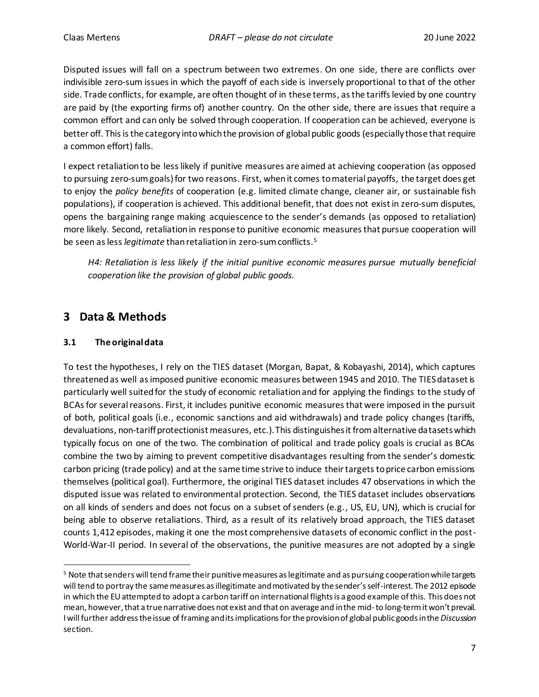Disputed issues will fall on a spectrum between two extremes. On one side, there are conflicts over indivisible zero-sum issuesin which the payoff of each side is inversely proportional to that of the other side. Trade conflicts, for example, are often thought of in these terms, as the tariffs levied by one country are paid by (the exporting firms of) another country. On the other side, there are issues that require a common effort and can only be solved through cooperation. If cooperation can be achieved, everyone is better off. This is the category into which the provision of global public goods (especially those that require a common effort) falls.

I expect retaliation to be less likely if punitive measures are aimed at achieving cooperation (as opposed to pursuing zero-sum goals) for two reasons. First, when it comes to material payoffs, the target does get to enjoy the *policy benefits* of cooperation (e.g. limited climate change, cleaner air, or sustainable fish populations), if cooperation is achieved. This additional benefit, that does not exist in zero-sum disputes, opens the bargaining range making acquiescence to the sender's demands (as opposed to retaliation) more likely. Second, retaliation in response to punitive economic measures that pursue cooperation will be seen as less *legitimate* than retaliation in zero-sum conflicts.<sup>5</sup>

*H4: Retaliation is less likely if the initial punitive economic measures pursue mutually beneficial cooperation like the provision of global public goods.*

# **3 Data & Methods**

### **3.1 The original data**

To test the hypotheses, I rely on the TIES dataset (Morgan, Bapat, & Kobayashi, 2014), which captures threatened as well as imposed punitive economic measures between 1945 and 2010. The TIES dataset is particularly well suited for the study of economic retaliation and for applying the findings to the study of BCAs for several reasons. First, it includes punitive economic measures that were imposed in the pursuit of both, political goals (i.e., economic sanctions and aid withdrawals) and trade policy changes (tariffs, devaluations, non-tariff protectionist measures, etc.). This distinguishes it from alternative datasets which typically focus on one of the two. The combination of political and trade policy goals is crucial as BCAs combine the two by aiming to prevent competitive disadvantages resulting from the sender's domestic carbon pricing (trade policy) and at the same time strive to induce their targets to price carbon emissions themselves (political goal). Furthermore, the original TIES dataset includes 47 observations in which the disputed issue was related to environmental protection. Second, the TIES dataset includes observations on all kinds of senders and does not focus on a subset of senders (e.g., US, EU, UN), which is crucial for being able to observe retaliations. Third, as a result of its relatively broad approach, the TIES dataset counts 1,412 episodes, making it one the most comprehensive datasets of economic conflict in the post-World-War-II period. In several of the observations, the punitive measures are not adopted by a single

<sup>&</sup>lt;sup>5</sup> Note that senders will tend frame their punitive measures as legitimate and as pursuing cooperation while targets will tend to portray the same measures as illegitimate and motivated by the sender's self-interest. The 2012 episode in which the EU attempted to adopt a carbon tariff on international flights is a good example of this. This does not mean, however, that a true narrative does not exist and that on average and in the mid-to long-termit won't prevail. I will further address the issue of framing and its implications for the provision of global public goods in the *[Discussion](#page-15-0)* section.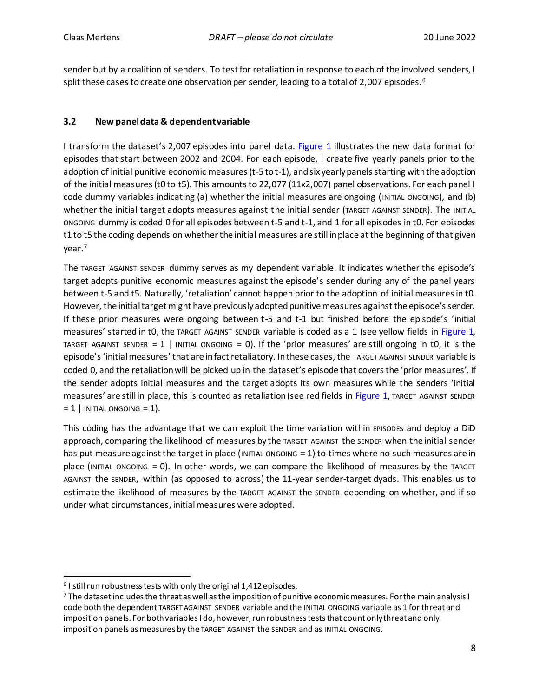sender but by a coalition of senders. To test for retaliation in response to each of the involved senders, I split these cases to create one observation per sender, leading to a total of 2,007 episodes.  $\rm ^6$ 

# **3.2 New panel data & dependent variable**

I transform the dataset's 2,007 episodes into panel data. [Figure 1](#page-8-0) illustrates the new data format for episodes that start between 2002 and 2004. For each episode, I create five yearly panels prior to the adoption of initial punitive economic measures (t-5 to t-1), and six yearly panels starting with the adoption of the initial measures (t0 to t5). This amounts to 22,077 (11x2,007) panel observations. For each panel I code dummy variables indicating (a) whether the initial measures are ongoing (INITIAL ONGOING), and (b) whether the initial target adopts measures against the initial sender (TARGET AGAINST SENDER). The INITIAL ONGOING dummy is coded 0 for all episodes between t-5 and t-1, and 1 for all episodes in t0. For episodes t1 to t5 the coding depends on whether the initial measures are still in place at the beginning of that given year.<sup>7</sup>

The TARGET AGAINST SENDER dummy serves as my dependent variable. It indicates whether the episode's target adopts punitive economic measures against the episode's sender during any of the panel years between t-5 and t5. Naturally, 'retaliation' cannot happen prior to the adoption of initial measures in t0. However, the initial target might have previously adopted punitive measures against the episode's sender. If these prior measures were ongoing between t-5 and t-1 but finished before the episode's 'initial measures' started in t0, the TARGET AGAINST SENDER variable is coded as a 1 (see yellow fields i[n Figure 1,](#page-8-0) TARGET AGAINST SENDER = 1 | INITIAL ONGOING = 0). If the 'prior measures' are still ongoing in t0, it is the episode's 'initial measures' that are in fact retaliatory. In these cases, the TARGET AGAINST SENDER variable is coded 0, and the retaliation will be picked up in the dataset's episode that covers the 'prior measures'. If the sender adopts initial measures and the target adopts its own measures while the senders 'initial measures' are still in place, this is counted as retaliation (see red fields in [Figure 1,](#page-8-0) TARGET AGAINST SENDER  $= 1$  | INITIAL ONGOING  $= 1$ ).

This coding has the advantage that we can exploit the time variation within EPISODEs and deploy a DiD approach, comparing the likelihood of measures by the TARGET AGAINST the SENDER when the initial sender has put measure against the target in place (INITIAL ONGOING  $= 1$ ) to times where no such measures are in place (INITIAL ONGOING = 0). In other words, we can compare the likelihood of measures by the TARGET AGAINST the SENDER, within (as opposed to across) the 11-year sender-target dyads. This enables us to estimate the likelihood of measures by the TARGET AGAINST the SENDER depending on whether, and if so under what circumstances, initial measures were adopted.

<sup>6</sup> I still run robustness tests with only the original 1,412 episodes.

<sup>7</sup> The dataset includes the threat as well as the imposition of punitive economic measures. For the main analysis I code both the dependent TARGET AGAINST SENDER variable and the INITIAL ONGOING variable as 1 for threat and imposition panels. For both variables I do, however, run robustness tests that count only threat and only imposition panels as measures by the TARGET AGAINST the SENDER and as INITIAL ONGOING.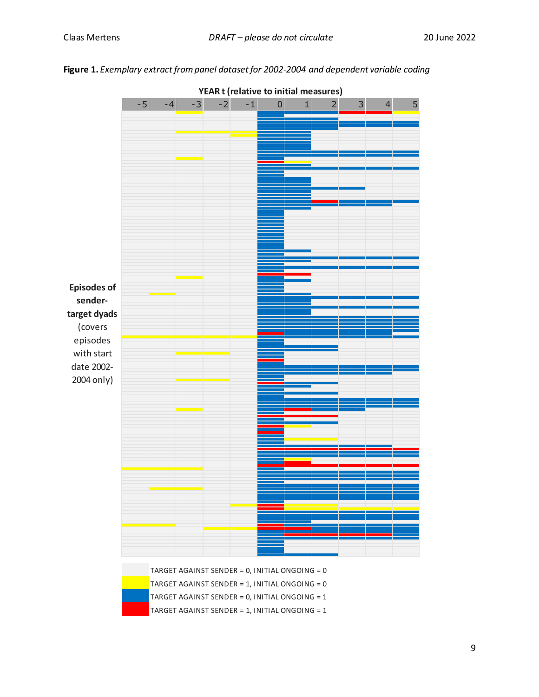<span id="page-8-0"></span>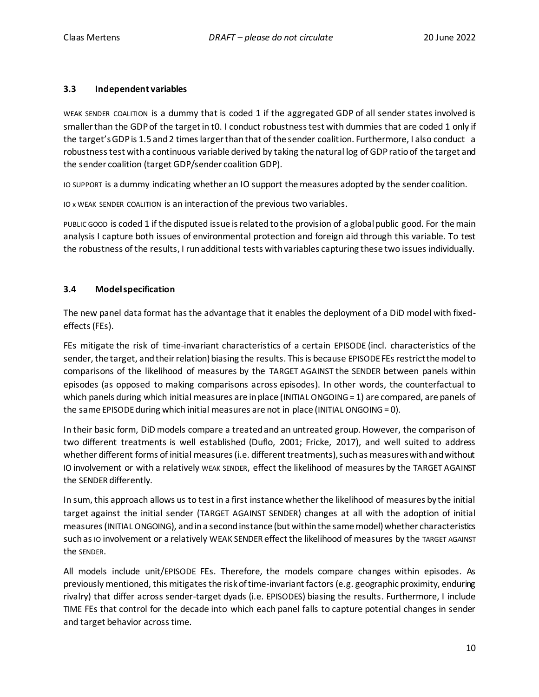#### **3.3 Independent variables**

WEAK SENDER COALITION is a dummy that is coded 1 if the aggregated GDP of all sender states involved is smaller than the GDP of the target in t0. I conduct robustness test with dummies that are coded 1 only if the target's GDP is 1.5 and 2 times larger than that of the sender coalition. Furthermore, I also conduct a robustness test with a continuous variable derived by taking the natural log of GDP ratio of the target and the sender coalition (target GDP/sender coalition GDP).

IO SUPPORT is a dummy indicating whether an IO support the measures adopted by the sender coalition.

IO x WEAK SENDER COALITION is an interactionof the previous two variables.

PUBLIC GOOD is coded 1 if the disputed issue is related to the provision of a global public good. For the main analysis I capture both issues of environmental protection and foreign aid through this variable. To test the robustness of the results, I run additional tests with variables capturing these two issues individually.

### **3.4 Model specification**

The new panel data format has the advantage that it enables the deployment of a DiD model with fixedeffects (FEs).

FEs mitigate the risk of time-invariant characteristics of a certain EPISODE (incl. characteristics of the sender, the target, and their relation) biasing the results. This is because EPISODE FEs restrict the model to comparisons of the likelihood of measures by the TARGET AGAINST the SENDER between panels within episodes (as opposed to making comparisons across episodes). In other words, the counterfactual to which panels during which initial measures are in place (INITIAL ONGOING = 1) are compared, are panels of the same EPISODE during which initial measures are not in place (INITIAL ONGOING =  $0$ ).

In their basic form, DiD models compare a treated and an untreated group. However, the comparison of two different treatments is well established (Duflo, 2001; Fricke, 2017), and well suited to address whether different forms of initial measures (i.e. different treatments), such as measures with and without IO involvement or with a relatively WEAK SENDER, effect the likelihood of measures by the TARGET AGAINST the SENDER differently.

In sum, this approach allows us to test in a first instance whether the likelihood of measures by the initial target against the initial sender (TARGET AGAINST SENDER) changes at all with the adoption of initial measures (INITIAL ONGOING), and in a second instance (but within the same model) whether characteristics such as IO involvement or a relatively WEAK SENDER effect the likelihood of measures by the TARGET AGAINST the SENDER.

All models include unit/EPISODE FEs. Therefore, the models compare changes within episodes. As previously mentioned, this mitigates the risk of time-invariant factors(e.g. geographic proximity, enduring rivalry) that differ across sender-target dyads (i.e. EPISODES) biasing the results. Furthermore, I include TIME FEs that control for the decade into which each panel falls to capture potential changes in sender and target behavior across time.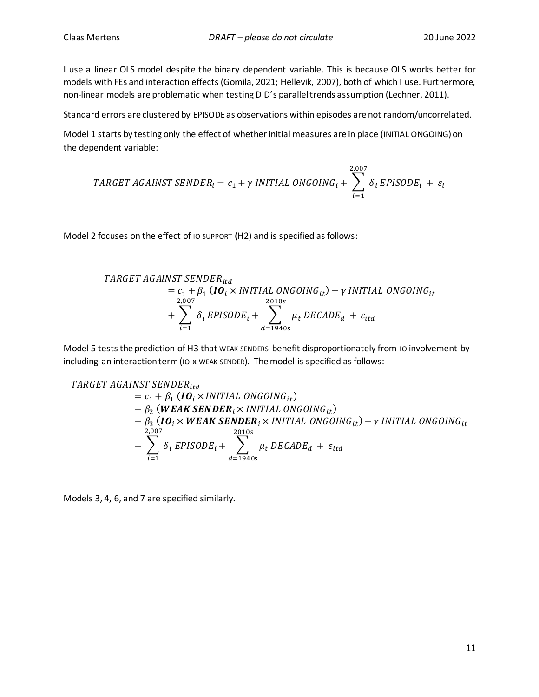I use a linear OLS model despite the binary dependent variable. This is because OLS works better for models with FEs and interaction effects (Gomila, 2021; Hellevik, 2007), both of which I use. Furthermore, non-linear models are problematic when testing DiD's parallel trends assumption (Lechner, 2011).

Standard errors are clustered by EPISODE as observations within episodes are not random/uncorrelated.

Model 1 starts by testing only the effect of whether initial measures are in place (INITIAL ONGOING) on the dependent variable:

$$
TARGET AGAINT SENDER_i = c_1 + \gamma \text{INITIAL ONGOING}_i + \sum_{i=1}^{2,007} \delta_i \text{EPISODE}_i + \varepsilon_i
$$

Model 2 focuses on the effect of IO SUPPORT (H2) and is specified as follows:

TARGET AGAINST SENDER<sub>itd</sub>  
= 
$$
c_1 + \beta_1
$$
 (**IO**<sub>i</sub> × INITIAL ONGOING<sub>it</sub>) +  $\gamma$  INITIAL ONGOING<sub>it</sub>  
+  $\sum_{i=1}^{2,007} \delta_i$  EPISODE<sub>i</sub> +  $\sum_{d=1940s}^{2010s} \mu_t$  DECADE<sub>d</sub> +  $\varepsilon_{itd}$ 

Model 5 tests the prediction of H3 that WEAK SENDERS benefit disproportionately from 10 involvement by including an interaction term (IO x WEAK SENDER). The model is specified as follows:

**TABLEORET AGAINST SENDER**  
\n
$$
= c_{1} + \beta_{1} (IO_{i} \times INITIAL \ ONGOING_{it})
$$
\n
$$
+ \beta_{2} (WEAK SENDER_{i} \times INITIAL \ ONGOING_{it})
$$
\n
$$
+ \beta_{3} (IO_{i} \times WEAK SENDER_{i} \times INITIAL \ ONGOING_{it})
$$
\n
$$
+ \beta_{3} (IO_{i} \times WEAK \ SENDER_{i} \times INITIAL \ ONGOING_{it}) + \gamma INITIAL \ ONGOING_{it}
$$
\n
$$
+ \sum_{i=1}^{2,007} \delta_{i} EPISODE_{i} + \sum_{d=1940s}^{2010s} \mu_{t} DECADE_{d} + \varepsilon_{itd}
$$

Models 3, 4, 6, and 7 are specified similarly.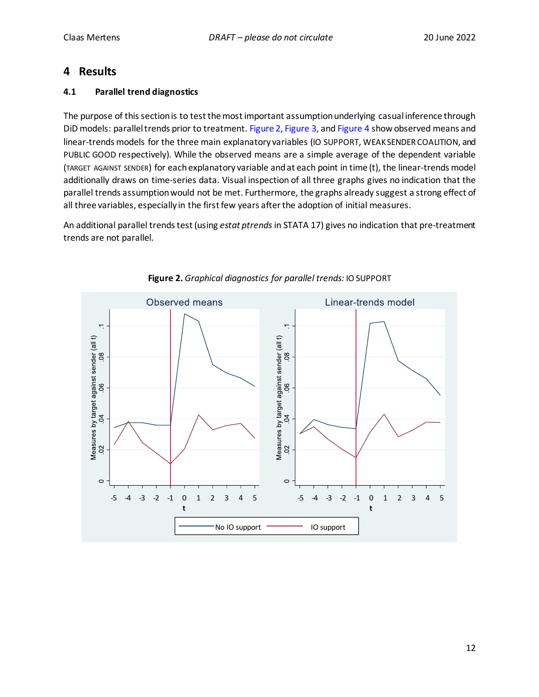# **4 Results**

# **4.1 Parallel trend diagnostics**

The purpose of this section is to test the most important assumption underlying casual inference through DiD models: parallel trends prior to treatment[. Figure 2,](#page-11-0) [Figure 3,](#page-12-0) an[d Figure 4](#page-12-1) show observed means and linear-trends models for the three main explanatory variables (IO SUPPORT, WEAK SENDER COALITION, and PUBLIC GOOD respectively). While the observed means are a simple average of the dependent variable (TARGET AGAINST SENDER) for each explanatory variable and at each point in time (t), the linear-trends model additionally draws on time-series data. Visual inspection of all three graphs gives no indication that the parallel trends assumption would not be met. Furthermore, the graphs already suggest a strong effect of all three variables, especially in the first few years after the adoption of initial measures.

An additional parallel trends test (using *estat ptrends* in STATA 17) gives no indication that pre-treatment Arraductorial parallel.<br>trends are not parallel.

<span id="page-11-0"></span>

# **Figure 2.** *Graphical diagnostics for parallel trends:* IO SUPPORT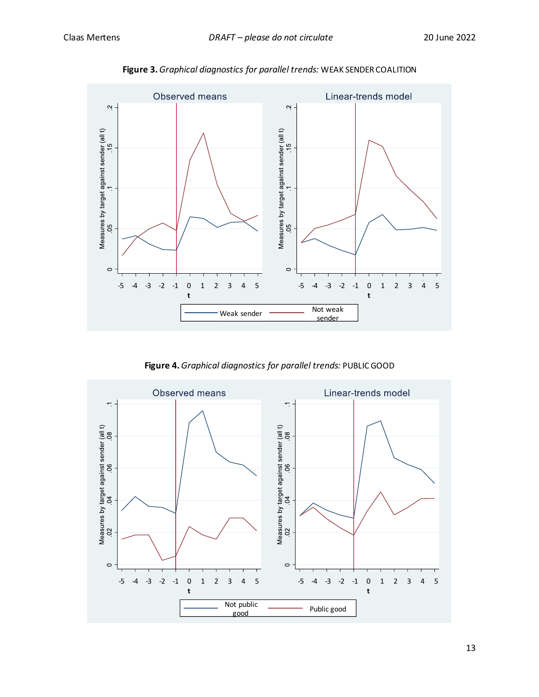<span id="page-12-0"></span>

**Figure 3.** *Graphical diagnostics for parallel trends:* WEAK SENDER COALITION

**Figure 4.** *Graphical diagnostics for parallel trends:* PUBLIC GOOD

<span id="page-12-1"></span>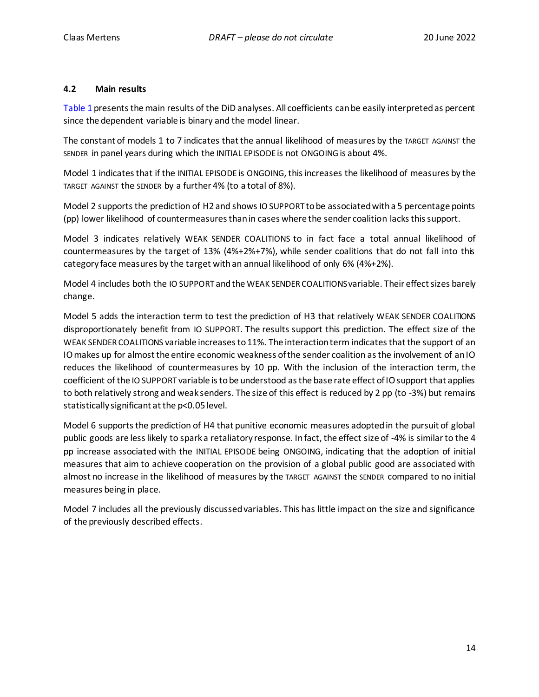#### **4.2 Main results**

[Table 1](#page-14-0) presents the main results of the DiD analyses. All coefficients can be easily interpreted as percent since the dependent variable is binary and the model linear.

The constant of models 1 to 7 indicates that the annual likelihood of measures by the TARGET AGAINST the SENDER in panel years during which the INITIAL EPISODE is not ONGOINGis about 4%.

Model 1 indicates that if the INITIAL EPISODE is ONGOING, this increases the likelihood of measures by the TARGET AGAINST the SENDER by a further 4% (to a total of 8%).

Model 2 supports the prediction of H2 and shows IO SUPPORT to be associated with a 5 percentage points (pp) lower likelihood of countermeasures than in cases where the sender coalition lacks this support.

Model 3 indicates relatively WEAK SENDER COALITIONS to in fact face a total annual likelihood of countermeasures by the target of 13% (4%+2%+7%), while sender coalitions that do not fall into this category face measures by the target with an annual likelihood of only 6% (4%+2%).

Model 4 includes both the IO SUPPORT and the WEAK SENDER COALITIONSvariable. Their effect sizes barely change.

Model 5 adds the interaction term to test the prediction of H3 that relatively WEAK SENDER COALITIONS disproportionately benefit from IO SUPPORT. The results support this prediction. The effect size of the WEAK SENDER COALITIONS variable increases to 11%. The interaction term indicates that the support of an IO makes up for almost the entire economic weakness of the sender coalition as the involvement of an IO reduces the likelihood of countermeasures by 10 pp. With the inclusion of the interaction term, the coefficient of the IO SUPPORT variable is to be understood as the base rate effect of IO support that applies to both relatively strong and weak senders. The size of this effect is reduced by 2 pp (to -3%) but remains statistically significant at the p<0.05 level.

Model 6 supports the prediction of H4 that punitive economic measures adopted in the pursuit of global public goods are less likely to spark a retaliatory response. In fact, the effect size of -4% is similar to the 4 pp increase associated with the INITIAL EPISODE being ONGOING, indicating that the adoption of initial measures that aim to achieve cooperation on the provision of a global public good are associated with almost no increase in the likelihood of measures by the TARGET AGAINST the SENDER compared to no initial measures being in place.

Model 7 includes all the previously discussed variables. This has little impact on the size and significance of the previously described effects.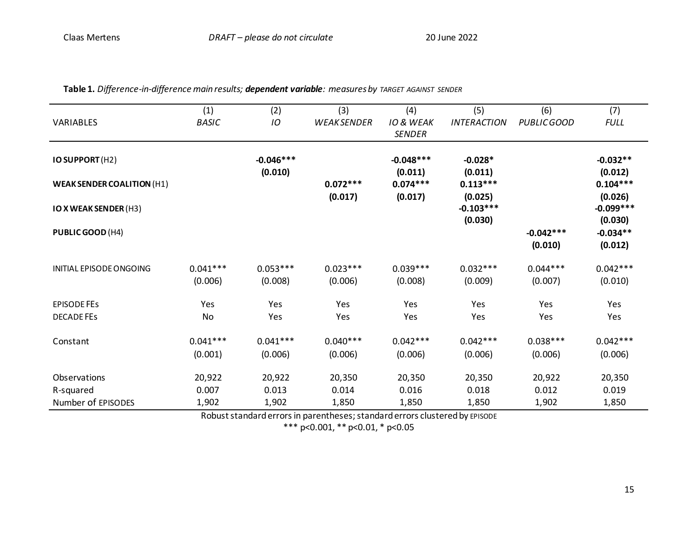<span id="page-14-0"></span>

| VARIABLES                         | (1)<br><b>BASIC</b>   | (2)<br>IO              | (3)<br><b>WEAKSENDER</b> | (4)<br><b>IO &amp; WEAK</b> | (5)<br><b>INTERACTION</b>         | (6)<br>PUBLIC GOOD     | (7)<br><b>FULL</b>                |
|-----------------------------------|-----------------------|------------------------|--------------------------|-----------------------------|-----------------------------------|------------------------|-----------------------------------|
|                                   |                       |                        |                          | <b>SENDER</b>               |                                   |                        |                                   |
| IO SUPPORT (H2)                   |                       | $-0.046***$<br>(0.010) |                          | $-0.048***$<br>(0.011)      | $-0.028*$<br>(0.011)              |                        | $-0.032**$<br>(0.012)             |
| <b>WEAK SENDER COALITION (H1)</b> |                       |                        | $0.072***$               | $0.074***$                  | $0.113***$                        |                        | $0.104***$                        |
| <b>IO X WEAK SENDER (H3)</b>      |                       |                        | (0.017)                  | (0.017)                     | (0.025)<br>$-0.103***$<br>(0.030) |                        | (0.026)<br>$-0.099***$<br>(0.030) |
| PUBLIC GOOD (H4)                  |                       |                        |                          |                             |                                   | $-0.042***$<br>(0.010) | $-0.034**$<br>(0.012)             |
| INITIAL EPISODE ONGOING           | $0.041***$<br>(0.006) | $0.053***$<br>(0.008)  | $0.023***$<br>(0.006)    | $0.039***$<br>(0.008)       | $0.032***$<br>(0.009)             | $0.044***$<br>(0.007)  | $0.042***$<br>(0.010)             |
| <b>EPISODE FES</b>                | Yes                   | Yes                    | Yes                      | Yes                         | Yes                               | Yes                    | Yes                               |
| <b>DECADE FES</b>                 | No                    | Yes                    | Yes                      | Yes                         | Yes                               | Yes                    | Yes                               |
| Constant                          | $0.041***$<br>(0.001) | $0.041***$<br>(0.006)  | $0.040***$<br>(0.006)    | $0.042***$<br>(0.006)       | $0.042***$<br>(0.006)             | $0.038***$<br>(0.006)  | $0.042***$<br>(0.006)             |
| Observations                      | 20,922                | 20,922                 | 20,350                   | 20,350                      | 20,350                            | 20,922                 | 20,350                            |
| R-squared                         | 0.007                 | 0.013                  | 0.014                    | 0.016                       | 0.018                             | 0.012                  | 0.019                             |
| Number of EPISODES                | 1,902                 | 1,902                  | 1,850                    | 1,850                       | 1,850                             | 1,902                  | 1,850                             |

**Table 1.** *Difference-in-difference main results; dependent variable: measures by TARGET AGAINST SENDER*

Robust standard errors in parentheses; standard errors clustered by EPISODE

\*\*\* p<0.001, \*\* p<0.01, \* p<0.05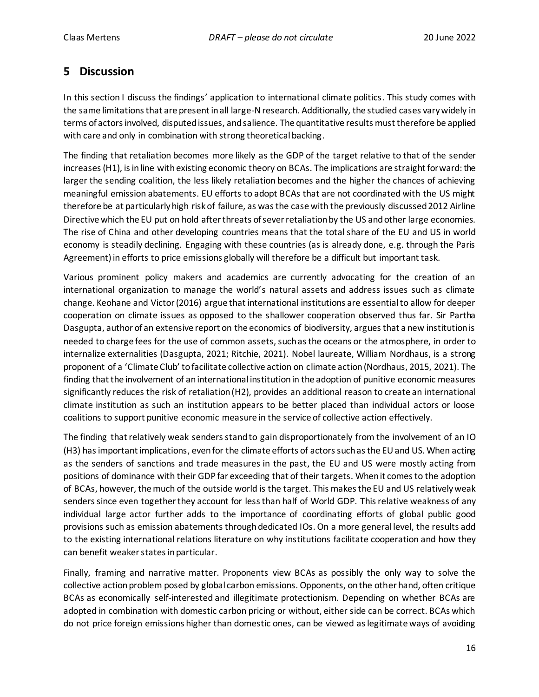# <span id="page-15-0"></span>**5 Discussion**

In this section I discuss the findings' application to international climate politics. This study comes with the same limitations that are present in all large-N research. Additionally, the studied cases vary widely in terms of actors involved, disputed issues, and salience. The quantitative results must therefore be applied with care and only in combination with strong theoretical backing.

The finding that retaliation becomes more likely as the GDP of the target relative to that of the sender increases (H1), is in line with existing economic theory on BCAs. The implications are straight forward: the larger the sending coalition, the less likely retaliation becomes and the higher the chances of achieving meaningful emission abatements. EU efforts to adopt BCAs that are not coordinated with the US might therefore be at particularly high risk of failure, as was the case with the previously discussed 2012 Airline Directive which the EU put on hold after threats of sever retaliation by the US and other large economies. The rise of China and other developing countries means that the total share of the EU and US in world economy is steadily declining. Engaging with these countries (as is already done, e.g. through the Paris Agreement) in efforts to price emissions globally will therefore be a difficult but important task.

Various prominent policy makers and academics are currently advocating for the creation of an international organization to manage the world's natural assets and address issues such as climate change. Keohane and Victor (2016) argue that international institutions are essential to allow for deeper cooperation on climate issues as opposed to the shallower cooperation observed thus far. Sir Partha Dasgupta, author of an extensive report on the economics of biodiversity, argues that a new institution is needed to charge fees for the use of common assets, such as the oceans or the atmosphere, in order to internalize externalities (Dasgupta, 2021; Ritchie, 2021). Nobel laureate, William Nordhaus, is a strong proponent of a 'Climate Club' to facilitate collective action on climate action (Nordhaus, 2015, 2021). The finding that the involvement of an international institution in the adoption of punitive economic measures significantly reduces the risk of retaliation (H2), provides an additional reason to create an international climate institution as such an institution appears to be better placed than individual actors or loose coalitions to support punitive economic measure in the service of collective action effectively.

The finding that relatively weak senders stand to gain disproportionately from the involvement of an IO (H3) has important implications, evenfor the climate efforts of actors such as the EU and US. When acting as the senders of sanctions and trade measures in the past, the EU and US were mostly acting from positions of dominance with their GDP far exceeding that of their targets. When it comes to the adoption of BCAs, however, the much of the outside world is the target. This makesthe EU and US relatively weak senders since even together they account for less than half of World GDP. This relative weakness of any individual large actor further adds to the importance of coordinating efforts of global public good provisions such as emission abatements through dedicated IOs. On a more general level, the results add to the existing international relations literature on why institutions facilitate cooperation and how they can benefit weaker states in particular.

Finally, framing and narrative matter. Proponents view BCAs as possibly the only way to solve the collective action problem posed by global carbon emissions. Opponents, on the other hand, often critique BCAs as economically self-interested and illegitimate protectionism. Depending on whether BCAs are adopted in combination with domestic carbon pricing or without, either side can be correct. BCAs which do not price foreign emissions higher than domestic ones, can be viewed as legitimate ways of avoiding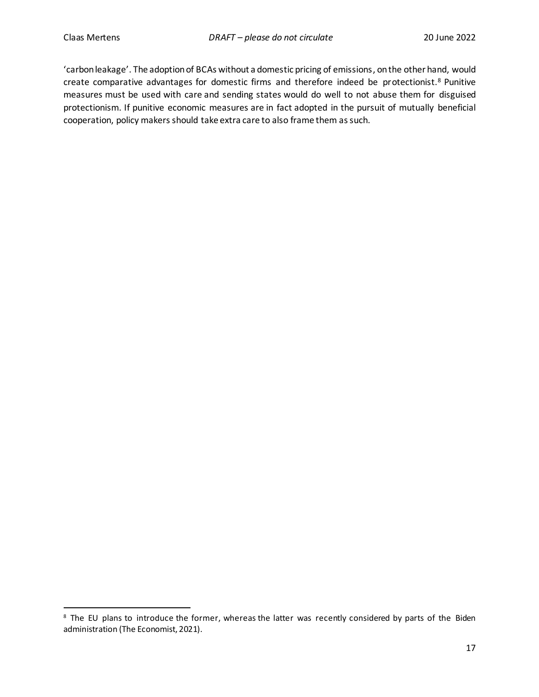'carbon leakage'. The adoption of BCAs without a domestic pricing of emissions, on the other hand, would create comparative advantages for domestic firms and therefore indeed be protectionist.<sup>8</sup> Punitive measures must be used with care and sending states would do well to not abuse them for disguised protectionism. If punitive economic measures are in fact adopted in the pursuit of mutually beneficial cooperation, policy makers should take extra care to also frame them as such.

<sup>&</sup>lt;sup>8</sup> The EU plans to introduce the former, whereas the latter was recently considered by parts of the Biden administration (The Economist, 2021).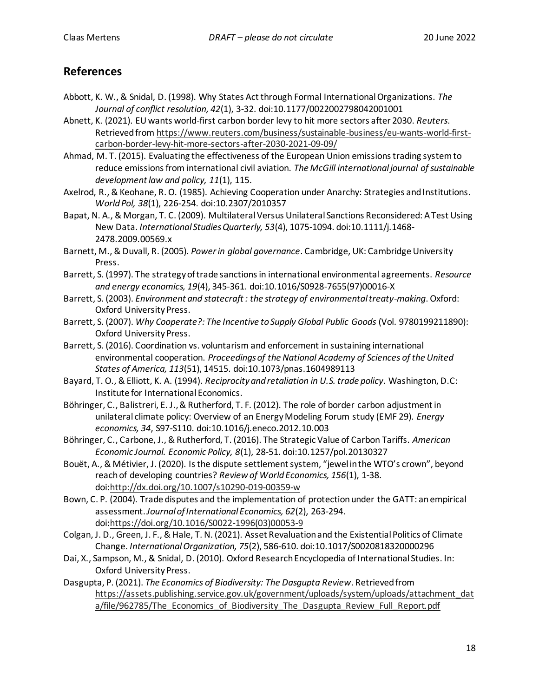# **References**

- Abbott, K. W., & Snidal, D. (1998). Why States Act through Formal International Organizations. *The Journal of conflict resolution, 42*(1), 3-32. doi:10.1177/0022002798042001001
- Abnett, K. (2021). EU wants world-first carbon border levy to hit more sectors after 2030. *Reuters*. Retrieved from [https://www.reuters.com/business/sustainable-business/eu-wants-world-first](https://www.reuters.com/business/sustainable-business/eu-wants-world-first-carbon-border-levy-hit-more-sectors-after-2030-2021-09-09/)[carbon-border-levy-hit-more-sectors-after-2030-2021-09-09/](https://www.reuters.com/business/sustainable-business/eu-wants-world-first-carbon-border-levy-hit-more-sectors-after-2030-2021-09-09/)
- Ahmad, M. T. (2015). Evaluating the effectiveness of the European Union emissions trading system to reduce emissions from international civil aviation. *The McGill international journal of sustainable development law and policy, 11*(1), 115.
- Axelrod, R., & Keohane, R. O. (1985). Achieving Cooperation under Anarchy: Strategies and Institutions. *World Pol, 38*(1), 226-254. doi:10.2307/2010357
- Bapat, N. A., & Morgan, T. C. (2009). Multilateral Versus Unilateral Sanctions Reconsidered: A Test Using New Data. *International Studies Quarterly, 53*(4), 1075-1094. doi:10.1111/j.1468- 2478.2009.00569.x
- Barnett, M., & Duvall, R. (2005). *Power in global governance*. Cambridge, UK: Cambridge University Press.
- Barrett, S. (1997). The strategy of trade sanctions in international environmental agreements. *Resource and energy economics, 19*(4), 345-361. doi:10.1016/S0928-7655(97)00016-X
- Barrett, S. (2003). *Environment and statecraft : the strategy of environmental treaty-making*. Oxford: Oxford University Press.
- Barrett, S. (2007). *Why Cooperate?: The Incentive to Supply Global Public Goods* (Vol. 9780199211890): Oxford University Press.
- Barrett, S. (2016). Coordination vs. voluntarism and enforcement in sustaining international environmental cooperation. *Proceedings of the National Academy of Sciences of the United States of America, 113*(51), 14515. doi:10.1073/pnas.1604989113
- Bayard, T. O., & Elliott, K. A. (1994). *Reciprocity and retaliation in U.S. trade policy*. Washington, D.C: Institute for International Economics.
- Böhringer, C., Balistreri, E. J., & Rutherford, T. F. (2012). The role of border carbon adjustment in unilateral climate policy: Overview of an Energy Modeling Forum study (EMF 29). *Energy economics, 34*, S97-S110. doi:10.1016/j.eneco.2012.10.003
- Böhringer, C., Carbone, J., & Rutherford, T. (2016). The Strategic Value of Carbon Tariffs. *American Economic Journal. Economic Policy, 8*(1), 28-51. doi:10.1257/pol.20130327
- Bouët, A., & Métivier, J. (2020). Is the dispute settlement system, "jewel in the WTO's crown", beyond reach of developing countries? *Review of World Economics, 156*(1), 1-38. doi[:http://dx.doi.org/10.1007/s10290-019-00359-w](http://dx.doi.org/10.1007/s10290-019-00359-w)
- Bown, C. P. (2004). Trade disputes and the implementation of protection under the GATT: an empirical assessment. *Journal of International Economics, 62*(2), 263-294. doi[:https://doi.org/10.1016/S0022-1996\(03\)00053-9](https://doi.org/10.1016/S0022-1996(03)00053-9)
- Colgan, J. D., Green, J. F., & Hale, T. N. (2021). Asset Revaluation and the Existential Politics of Climate Change. *International Organization, 75*(2), 586-610. doi:10.1017/S0020818320000296
- Dai, X., Sampson, M., & Snidal, D. (2010). Oxford Research Encyclopedia of International Studies. In: Oxford University Press.
- Dasgupta, P. (2021). *The Economics of Biodiversity: The Dasgupta Review*. Retrieved from [https://assets.publishing.service.gov.uk/government/uploads/system/uploads/attachment\\_dat](https://assets.publishing.service.gov.uk/government/uploads/system/uploads/attachment_data/file/962785/The_Economics_of_Biodiversity_The_Dasgupta_Review_Full_Report.pdf) a/file/962785/The Economics of Biodiversity The Dasgupta Review Full Report.pdf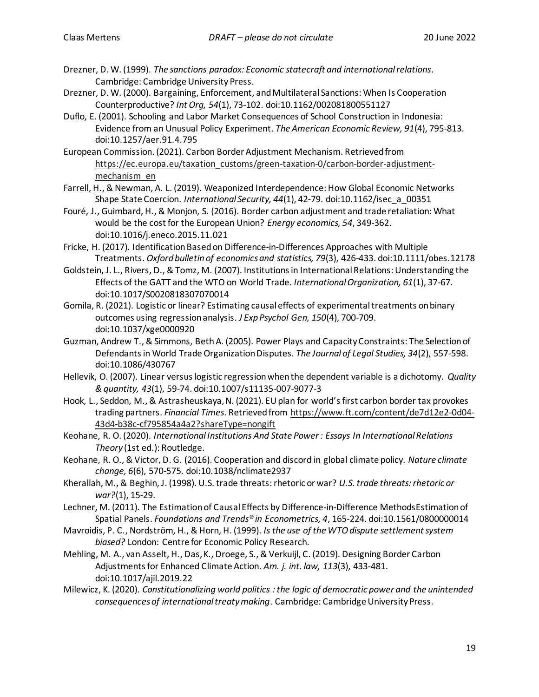- Drezner, D. W. (1999). *The sanctions paradox: Economic statecraft and international relations*. Cambridge: Cambridge University Press.
- Drezner, D. W. (2000). Bargaining, Enforcement, and Multilateral Sanctions: When Is Cooperation Counterproductive? *Int Org, 54*(1), 73-102. doi:10.1162/002081800551127
- Duflo, E. (2001). Schooling and Labor Market Consequences of School Construction in Indonesia: Evidence from an Unusual Policy Experiment. *The American Economic Review, 91*(4), 795-813. doi:10.1257/aer.91.4.795
- European Commission. (2021). Carbon Border Adjustment Mechanism. Retrieved from [https://ec.europa.eu/taxation\\_customs/green-taxation-0/carbon-border-adjustment](https://ec.europa.eu/taxation_customs/green-taxation-0/carbon-border-adjustment-mechanism_en)[mechanism\\_en](https://ec.europa.eu/taxation_customs/green-taxation-0/carbon-border-adjustment-mechanism_en)
- Farrell, H., & Newman, A. L. (2019). Weaponized Interdependence: How Global Economic Networks Shape State Coercion. *International Security, 44*(1), 42-79. doi:10.1162/isec\_a\_00351
- Fouré, J., Guimbard, H., & Monjon, S. (2016). Border carbon adjustment and trade retaliation: What would be the cost for the European Union? *Energy economics, 54*, 349-362. doi:10.1016/j.eneco.2015.11.021
- Fricke, H. (2017). Identification Based on Difference‐in‐Differences Approaches with Multiple Treatments. *Oxford bulletin of economics and statistics, 79*(3), 426-433. doi:10.1111/obes.12178
- Goldstein, J. L., Rivers, D., & Tomz, M. (2007). Institutions in International Relations: Understanding the Effects of the GATT and the WTO on World Trade. *International Organization, 61*(1), 37-67. doi:10.1017/S0020818307070014
- Gomila, R. (2021). Logistic or linear? Estimating causal effects of experimental treatments on binary outcomes using regression analysis. *J Exp Psychol Gen, 150*(4), 700-709. doi:10.1037/xge0000920
- Guzman, Andrew T., & Simmons, BethA. (2005). Power Plays and Capacity Constraints: The Selection of Defendants in World Trade Organization Disputes. *The Journal of Legal Studies, 34*(2), 557-598. doi:10.1086/430767
- Hellevik, O. (2007). Linear versus logistic regression when the dependent variable is a dichotomy. *Quality & quantity, 43*(1), 59-74. doi:10.1007/s11135-007-9077-3
- Hook, L., Seddon, M., & Astrasheuskaya, N. (2021). EU plan for world's first carbon border tax provokes trading partners. *Financial Times*. Retrieved from [https://www.ft.com/content/de7d12e2-0d04-](https://www.ft.com/content/de7d12e2-0d04-43d4-b38c-cf795854a4a2?shareType=nongift) [43d4-b38c-cf795854a4a2?shareType=nongift](https://www.ft.com/content/de7d12e2-0d04-43d4-b38c-cf795854a4a2?shareType=nongift)
- Keohane, R. O. (2020). *International Institutions And State Power : Essays In International Relations Theory* (1st ed.): Routledge.
- Keohane, R. O., & Victor, D. G. (2016). Cooperation and discord in global climate policy. *Nature climate change, 6*(6), 570-575. doi:10.1038/nclimate2937
- Kherallah, M., & Beghin, J. (1998). U.S. trade threats: rhetoric or war? *U.S. trade threats: rhetoric or war?*(1), 15-29.
- Lechner, M. (2011). The Estimation of Causal Effects by Difference-in-Difference MethodsEstimation of Spatial Panels. *Foundations and Trends® in Econometrics, 4*, 165-224. doi:10.1561/0800000014
- Mavroidis, P. C., Nordström, H., & Horn, H. (1999). *Is the use of the WTO dispute settlement system biased?* London: Centre for Economic Policy Research.
- Mehling, M. A., van Asselt, H., Das, K., Droege, S., & Verkuijl, C. (2019). Designing Border Carbon Adjustments for Enhanced Climate Action. *Am. j. int. law, 113*(3), 433-481. doi:10.1017/ajil.2019.22
- Milewicz, K. (2020). *Constitutionalizing world politics : the logic of democratic power and the unintended consequences of international treaty making*. Cambridge: Cambridge University Press.